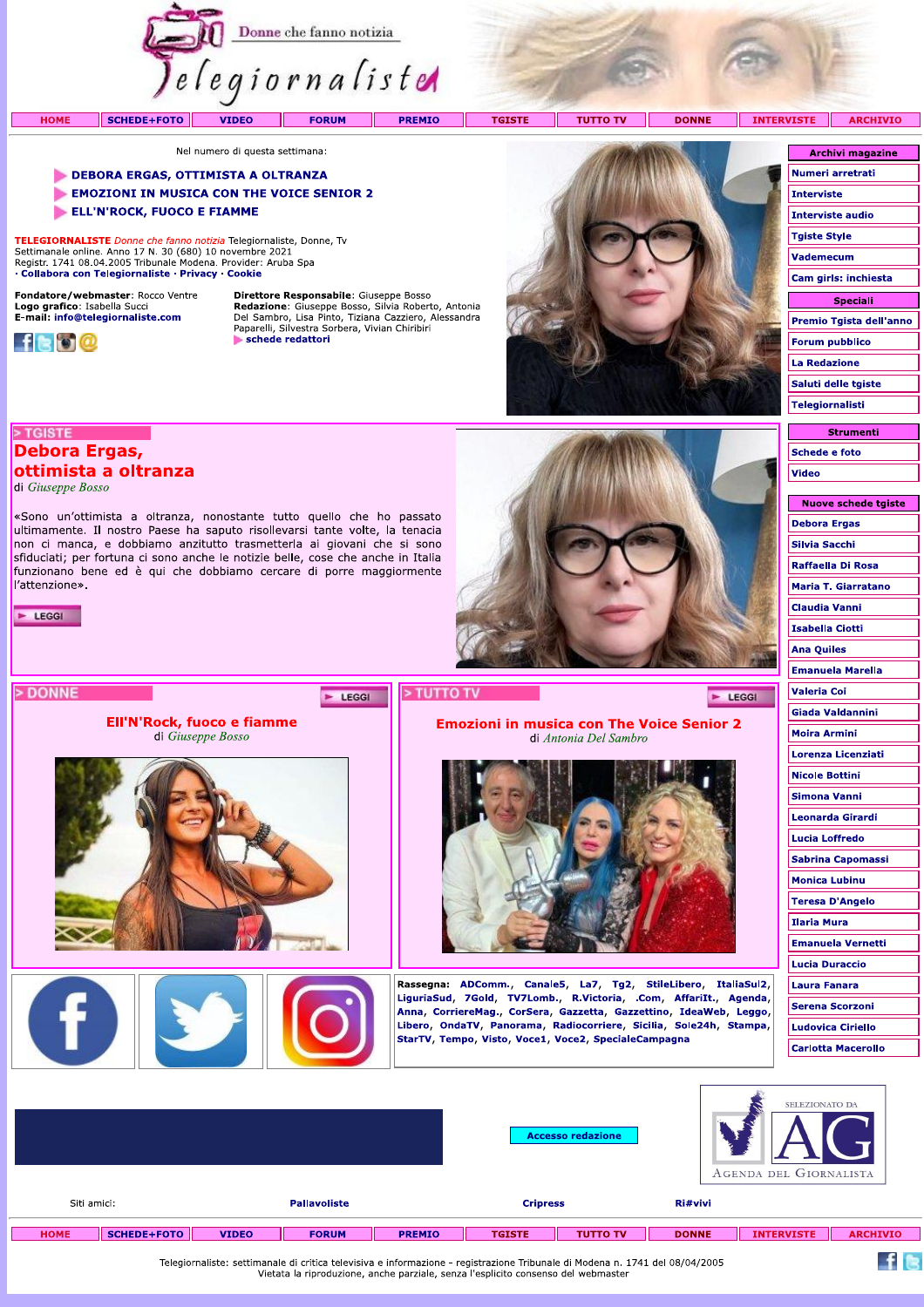

Nel numero di questa settimana:

#### DEBORA ERGAS, OTTIMISTA A OLTRANZA

EMOZIONI IN MUSICA CON THE VOICE SENIOR 2

«Sono un'ottimista a oltranza, nonostante tutto quello che ho passato ultimamente. Il nostro Paese ha saputo risollevarsi tante volte, la tenacia non ci manca, e dobbiamo anzitutto trasmetterla ai giovani che si sono sfiduciati; per fortuna ci sono anche le notizie belle, cose che anche in Italia funzionano bene ed è qui che dobbiamo cercare di porre maggiormente

Ell'N'Rock, fuoco e fiamme

di Giuseppe Bosso

ELL'N'ROCK, FUOCO E FIAMME

TELEGIORNALISTE Donne che fanno notizia Telegiornaliste, Donne, Tv Settimanale online. Anno 17 N. 30 (680) 10 novembre 2021<br>Registr. 1741 08.04.2005 Tribunale Modena. Provider: Aruba Spa · Collabora con Telegiornaliste · Privacy · Cookie

Fondatore/webmaster: Rocco Ventre Logo grafico: Isabella Succi<br>E-mail: info@telegiornaliste.com



> TGISTE

**Debora Ergas,** 

di Giuseppe Bosso

l'attenzione».

 $\blacktriangleright$  LEGGI

> DONNE

ottimista a oltranza

Direttore Responsabile: Giuseppe Bosso France Consequence Consequence Consequence Consequence Consequence Consequence Del Sambro, Lisa Pinto, Tiziana Cazziero, Alessandra Paparelli, Silvestra Sorbera, Vivian Chiribiri schede redattori

E LEGGI



**Emozioni in musica con The Voice Senior 2** 

di Antonia Del Sambro

Rassegna: ADComm., Canale5, La7, Tg2, StileLibero, ItaliaSul2, LiguriaSud, 7Gold, TV7Lomb., R.Victoria, .Com, AffariIt., Agenda, Anna, CorriereMag., CorSera, Gazzetta, Gazzettino, IdeaWeb, Leggo, Libero, OndaTV, Panorama, Radiocorriere, Sicilia, Sole24h, Stampa,

StarTV, Tempo, Visto, Voce1, Voce2, SpecialeCampagna

| <b>Archivi magazine</b> |
|-------------------------|
| Numeri arretrati        |
| Interviste              |
| <b>Interviste audio</b> |
| <b>Tgiste Style</b>     |
| Vademecum               |
| Cam girls: inchiesta    |
| <b>Speciali</b>         |
| Premio Tgista dell'anno |
| <b>Forum pubblico</b>   |
| <b>La Redazione</b>     |
| Saluti delle tgiste     |
| Telegiornalisti         |
|                         |

**Strumenti** Schede e foto Video

| <b>Nuove schede tgiste</b> |
|----------------------------|
| <b>Debora Ergas</b>        |
| Silvia Sacchi              |
| Raffaella Di Rosa          |
| Maria T. Giarratano        |
| Claudia Vanni              |
| Isabella Ciotti            |
| <b>Ana Quiles</b>          |
| <b>Emanuela Marella</b>    |
| Valeria Coi                |
| Giada Valdannini           |
| Moira Armini               |
| Lorenza Licenziati         |
| Nicole Bottini             |
| Simona Vanni               |
| Leonarda Girardi           |
| Lucia Loffredo             |
| <b>Sabrina Capomassi</b>   |
| <b>Monica Lubinu</b>       |
| <b>Teresa D'Angelo</b>     |
| Ilaria Mura                |
| <b>Emanuela Vernetti</b>   |
| Lucia Duraccio             |
| Laura Fanara               |
| Serena Scorzoni            |
| Ludovica Ciriello          |
| <b>Carlotta Macerollo</b>  |
|                            |

E LEGGI

|                                                                                                                              |             |              |                     |               |                 | <b>Accesso redazione</b> |              | SELEZIONATO DA<br>AGENDA DEL GIORNALISTA |                 |  |  |
|------------------------------------------------------------------------------------------------------------------------------|-------------|--------------|---------------------|---------------|-----------------|--------------------------|--------------|------------------------------------------|-----------------|--|--|
| Siti amici:                                                                                                                  |             |              | <b>Pallavoliste</b> |               | <b>Cripress</b> |                          | Ri#vivi      |                                          |                 |  |  |
| <b>HOME</b>                                                                                                                  | SCHEDE+FOTO | <b>VIDEO</b> | <b>FORUM</b>        | <b>PREMIO</b> | <b>TGISTE</b>   | <b>TUTTO TV</b>          | <b>DONNE</b> | <b>INTERVISTE</b>                        | <b>ARCHIVIO</b> |  |  |
| Telegiornaliste: settimanale di critica televisiva e informazione - registrazione Tribunale di Modena n. 1741 del 08/04/2005 |             |              |                     |               |                 |                          |              |                                          |                 |  |  |

> TUTTO TV

Telegiornaliste: settimanale di critica televisiva e informazione - registrazione Tribunale di Modena n. 1741 del 08/04/2005<br>Vietata la riproduzione, anche parziale, senza l'esplicito consenso del webmaster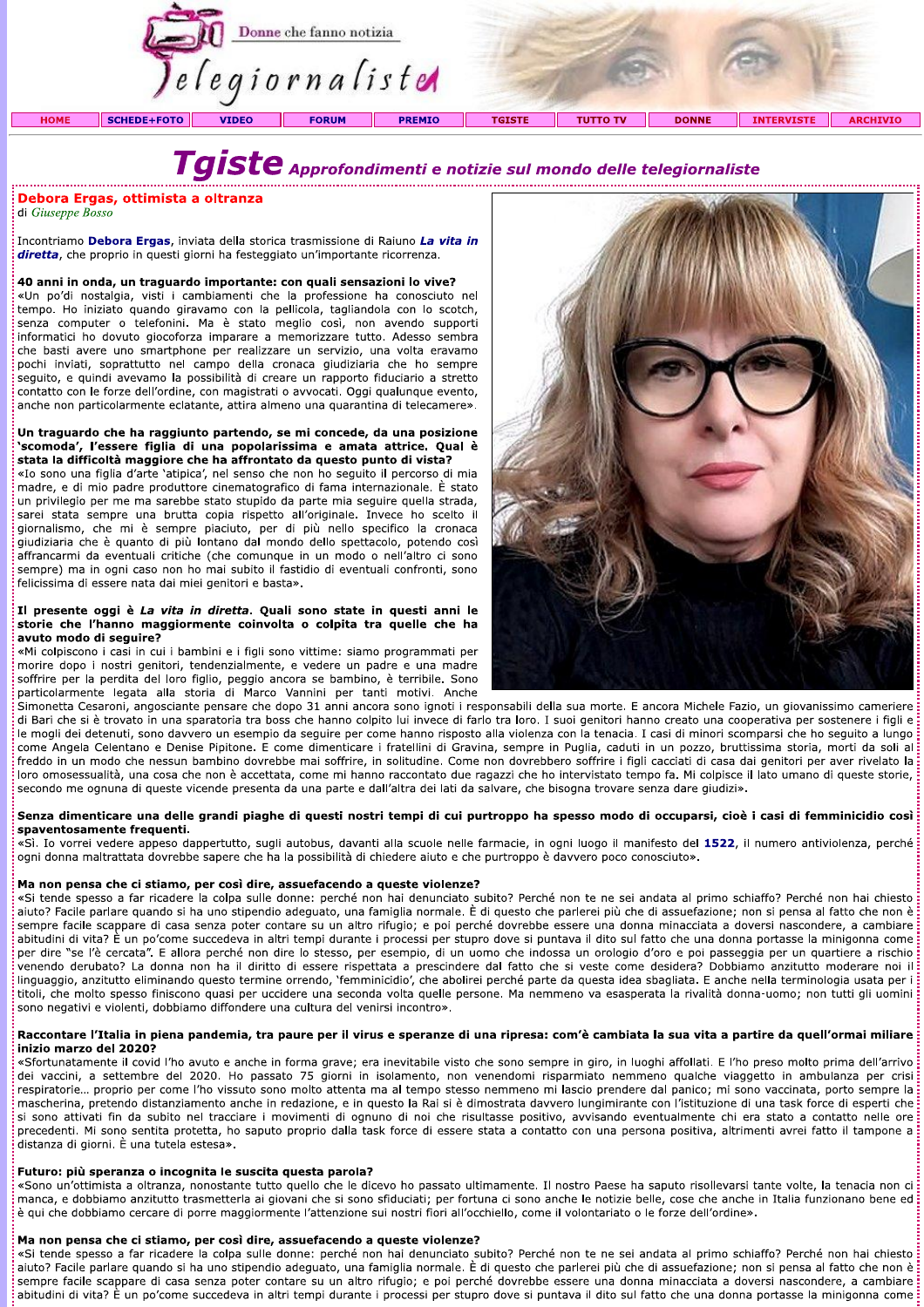

# Tgiste Approfondimenti e notizie sul mondo delle telegiornaliste

## Debora Ergas, ottimista a oltranza

di Giuseppe Bosso

Incontriamo Debora Ergas, inviata della storica trasmissione di Rajuno La vita in diretta, che proprio in questi giorni ha festeggiato un'importante ricorrenza.

#### 40 anni in onda, un traguardo importante: con quali sensazioni lo vive?

«Un po'di nostalgia, visti i cambiamenti che la professione ha conosciuto nel tempo. Ho iniziato quando giravamo con la pellicola, tagliandola con lo scotch, senza computer o telefonini. Ma è stato meglio così, non avendo supporti informatici ho dovuto giocoforza imparare a memorizzare tutto. Adesso sembra che basti avere uno smartphone per realizzare un servizio, una volta eravamo pochi inviati, soprattutto nel campo della cronaca giudiziaria che ho sempre seguito, e quindi avevamo la possibilità di creare un rapporto fiduciario a stretto contatto con le forze dell'ordine, con magistrati o avvocati. Oggi qualunque evento, anche non particolarmente eclatante, attira almeno una quarantina di telecamere».

#### Un traguardo che ha raggiunto partendo, se mi concede, da una posizione 'scomoda', l'essere figlia di una popolarissima e amata attrice. Qual è stata la difficoltà maggiore che ha affrontato da questo punto di vista?

«Io sono una figlia d'arte 'atipica', nel senso che non ho seguito il percorso di mia madre, e di mio padre produttore cinematografico di fama internazionale. È stato un privilegio per me ma sarebbe stato stupido da parte mia seguire quella strada, sarei stata sempre una brutta copia rispetto all'originale. Invece ho scelto il giornalismo, che mi è sempre piaciuto, per di più nello specifico la cronaca qiudiziaria che è quanto di più lontano dal mondo dello spettacolo, potendo così affrancarmi da eventuali critiche (che comunque in un modo o nell'altro ci sono sempre) ma in ogni caso non ho mai subito il fastidio di eventuali confronti, sono felicissima di essere nata dai miei genitori e basta».

#### Il presente oggi è La vita in diretta. Quali sono state in questi anni le storie che l'hanno maggiormente coinvolta o colpita tra quelle che ha avuto modo di sequire?

«Mi colpiscono i casi in cui i bambini e i figli sono vittime: siamo programmati per morire dopo i nostri genitori, tendenzialmente, e vedere un padre e una madre soffrire per la perdita del loro figlio, peggio ancora se bambino, è terribile. Sono particolarmente legata alla storia di Marco Vannini per tanti motivi. Anche



.<br>Simonetta Cesaroni, angosciante pensare che dopo 31 anni ancora sono ignoti i responsabili della sua morte. E ancora Michele Fazio, un giovanissimo cameriere di Bari che si è trovato in una sparatoria tra boss che hanno colpito lui invece di fario tra loro. I suoi genitori hanno creato una cooperativa per sostenere i figli e le mogli dei detenuti, sono davvero un esempio da seguire per come hanno risposto alla violenza con la tenacia. I casi di minori scomparsi che ho seguito a lungo come Angela Celentano e Denise Pipitone. E come dimenticare i fratellini di Gravina, sempre in Puglia, caduti in un pozzo, bruttissima storia, morti da soli al freddo in un modo che nessun bambino dovrebbe mai soffrire, in solitudine. Come non dovrebbero soffrire i figli cacciati di casa dai genitori per aver rivelato la loro omosessualità, una cosa che non è accettata, come mi hanno raccontato due ragazzi che ho intervistato tempo fa. Mi colpisce il lato umano di queste storie, secondo me ognuna di queste vicende presenta da una parte e dall'altra dei lati da salvare, che bisogna trovare senza dare giudizi».

#### Senza dimenticare una delle grandi piaghe di questi nostri tempi di cui purtroppo ha spesso modo di occuparsi, cioè i casi di femminicidio così spaventosamente frequenti.

«Sì. Io vorrei vedere appeso dappertutto, sugli autobus, davanti alla scuole nelle farmacie, in ogni luogo il manifesto del 1522, il numero antiviolenza, perché ogni donna maltrattata dovrebbe sapere che ha la possibilità di chiedere aiuto e che purtroppo è davvero poco conosciuto».

## Ma non pensa che ci stiamo, per così dire, assuefacendo a queste violenze?

«Si tende spesso a far ricadere la colpa sulle donne: perché non hai denunciato subito? Perché non te ne sei andata al primo schiaffo? Perché non hai chiesto aiuto? Facile parlare quando si ha uno stipendio adequato, una famiglia normale. È di questo che parlerei più che di assuefazione; non si pensa al fatto che non è sempre facile scappare di casa senza poter contare su un altro rifugio; e poi perché dovrebbe essere una donna minacciata a doversi nascondere, a cambiare abitudini di vita? È un po'come succedeva in altri tempi durante i processi per stupro dove si puntava il dito sul fatto che una donna portasse la minigonna come per dire "se l'è cercata". E allora perché non dire lo stesso, per esempio, di un uomo che indossa un orologio d'oro e poi passeggia per un quartiere a rischio venendo derubato? La donna non ha il diritto di essere rispettata a prescindere dal fatto che si veste come desidera? Dobbiamo anzitutto moderare noi il linguaggio, anzitutto eliminando questo termine orrendo, 'femminicidio', che abolirei perché parte da questa idea sbagliata. E anche nella terminologia usata per i titoli, che molto spesso finiscono quasi per uccidere una seconda volta quelle persone. Ma nemmeno va esasperata la rivalità donna-uomo; non tutti gli uomini sono negativi e violenti, dobbiamo diffondere una cultura del venirsi incontro».

## Raccontare l'Italia in piena pandemia, tra paure per il virus e speranze di una ripresa: com'è cambiata la sua vita a partire da quell'ormai miliare inizio marzo del 2020?

«Sfortunatamente il covid l'ho avuto e anche in forma grave; era inevitabile visto che sono sempre in giro, in luoghi affollati. E l'ho preso molto prima dell'arrivo dei vaccini, a settembre del 2020. Ho passato 75 giorni in isolamento, non venendomi risparmiato nemmeno qualche viaggetto in ambulanza per crisi respiratorie... proprio per come l'ho vissuto sono molto attenta ma al tempo stesso nemmeno mi lascio prendere dal panico; mi sono vaccinata, porto sempre la mascherina, pretendo distanziamento anche in redazione, e in questo la Rai si è dimostrata davvero lungimirante con l'istituzione di una task force di esperti che si sono attivati fin da subito nel tracciare i movimenti di ognuno di noi che risultasse positivo, avvisando eventualmente chi era stato a contatto nelle ore precedenti. Mi sono sentita protetta, ho saputo proprio dalla task force di essere stata a contatto con una persona positiva, altrimenti avrei fatto il tampone a distanza di giorni. È una tutela estesa».

## Futuro: più speranza o incognita le suscita questa parola?

«Sono un'ottimista a oltranza, nonostante tutto quello che le dicevo ho passato ultimamente. Il nostro Paese ha saputo risollevarsi tante volte, la tenacia non ci manca, e dobbiamo anzitutto trasmetterla ai giovani che si sono sfiduciati; per fortuna ci sono anche le notizie belle, cose che anche in Italia funzionano bene ed è qui che dobbiamo cercare di porre maggiormente l'attenzione sui nostri fiori all'occhiello, come il volontariato o le forze dell'ordine».

## Ma non pensa che ci stiamo, per così dire, assuefacendo a queste violenze?

«Si tende spesso a far ricadere la colpa sulle donne: perché non hai denunciato subito? Perché non te ne sei andata al primo schiaffo? Perché non hai chiesto aiuto? Facile parlare quando si ha uno stipendio adeguato, una famiglia normale. È di questo che parlerei più che di assuefazione; non si pensa al fatto che non è sempre facile scappare di casa senza poter contare su un altro rifugio; e poi perché dovrebbe essere una donna minacciata a doversi nascondere, a cambiare abitudini di vita? È un po'come succedeva in altri tempi durante i processi per stupro dove si puntava il dito sul fatto che una donna portasse la minigonna come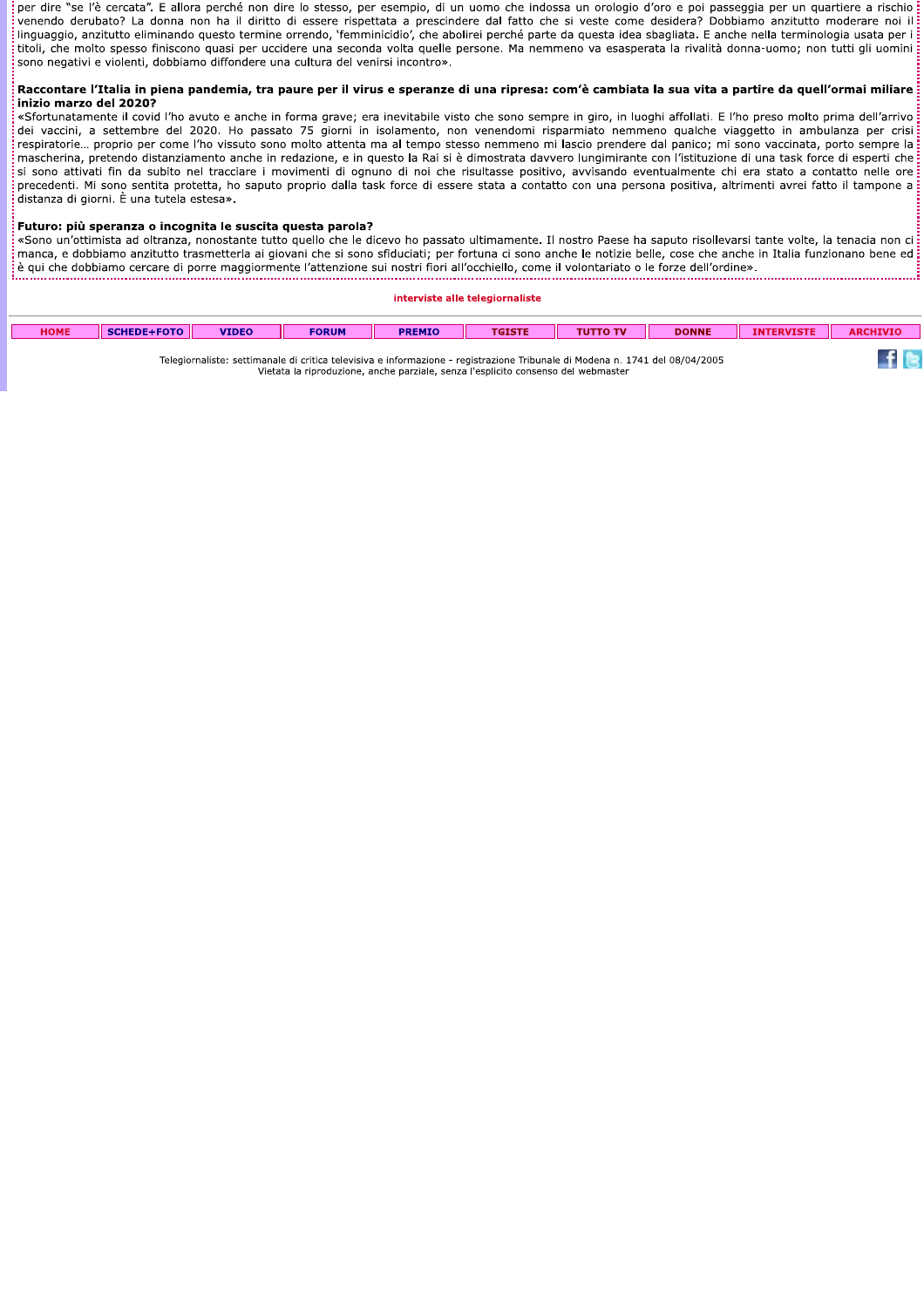:<br>per dire "se l'è cercata". E allora perché non dire lo stesso, per esempio, di un uomo che indossa un orologio d'oro e poi passeggia per un quartiere a rischio venendo derubato? La donna non ha il diritto di essere rispettata a prescindere dal fatto che si veste come desidera? Dobbiamo anzitutto moderare noi il linguaggio, anzitutto eliminando questo termine orrendo, 'femminicidio', che abolirei perché parte da questa idea sbagliata. E anche nella terminologia usata per i .<br>: titoli, che molto spesso finiscono quasi per uccidere una seconda volta quelle persone. Ma nemmeno va esasperata la rivalità donna-uomo; non tutti gli uomini sono negativi e violenti, dobbiamo diffondere una cultura del venirsi incontro».

#### Raccontare l'Italia in piena pandemia, tra paure per il virus e speranze di una ripresa: com'è cambiata la sua vita a partire da quell'ormai miliare inizio marzo del 2020?

«Sfortunatamente il covid l'ho avuto e anche in forma grave; era inevitabile visto che sono sempre in giro, in luoghi affollati. E l'ho preso molto prima dell'arrivo dei vaccini, a settembre del 2020. Ho passato 75 giorni in isolamento, non venendomi risparmiato nemmeno qualche viaggetto in ambulanza per crisi respiratorie... proprio per come l'ho vissuto sono molto attenta ma al tempo stesso nemmeno mi lascio prendere dal panico; mi sono vaccinata, porto sempre la mascherina, pretendo distanziamento anche in redazione, e in questo la Rai si è dimostrata davvero lungimirante con l'istituzione di una task force di esperti che si sono attivati fin da subito nel tracciare i movimenti di ognuno di noi che risultasse positivo, avvisando eventualmente chi era stato a contatto nelle ore precedenti. Mi sono sentita protetta, ho saputo proprio dalla task force di essere stata a contatto con una persona positiva, altrimenti avrei fatto il tampone a distanza di giorni. È una tutela estesa».

### Futuro: più speranza o incognita le suscita questa parola?

«Sono un'ottimista ad oltranza, nonostante tutto quello che le dicevo ho passato ultimamente. Il nostro Paese ha saputo risollevarsi tante volte, la tenacia non ci manca, e dobbiamo anzitutto trasmetterla ai giovani che si sono sfiduciati; per fortuna ci sono anche le notizie belle, cose che anche in Italia funzionano bene ed è qui che dobbiamo cercare di porre maggiormente l'attenzione sui nostri fiori all'occhiello, come il volontariato o le forze dell'ordine».

#### interviste alle telegiornaliste

| <b>HOME</b> | <b>SCHEDE+FOTO</b> | <b>VIDEO</b> | <b>FORUM</b> | <b>PREMIO</b> | <b>TGISTE</b> | יד הדדוה | <b>DONNE</b> | <b>INTERVISTE</b> | <b>ARCHIVIO</b> |
|-------------|--------------------|--------------|--------------|---------------|---------------|----------|--------------|-------------------|-----------------|
|             |                    |              |              |               |               |          |              |                   |                 |

 $f \approx$ 

Telegiornaliste: settimanale di critica televisiva e informazione - registrazione Tribunale di Modena n. 1741 del 08/04/2005<br>Vietata la riproduzione, anche parziale, senza l'esplicito consenso del webmaster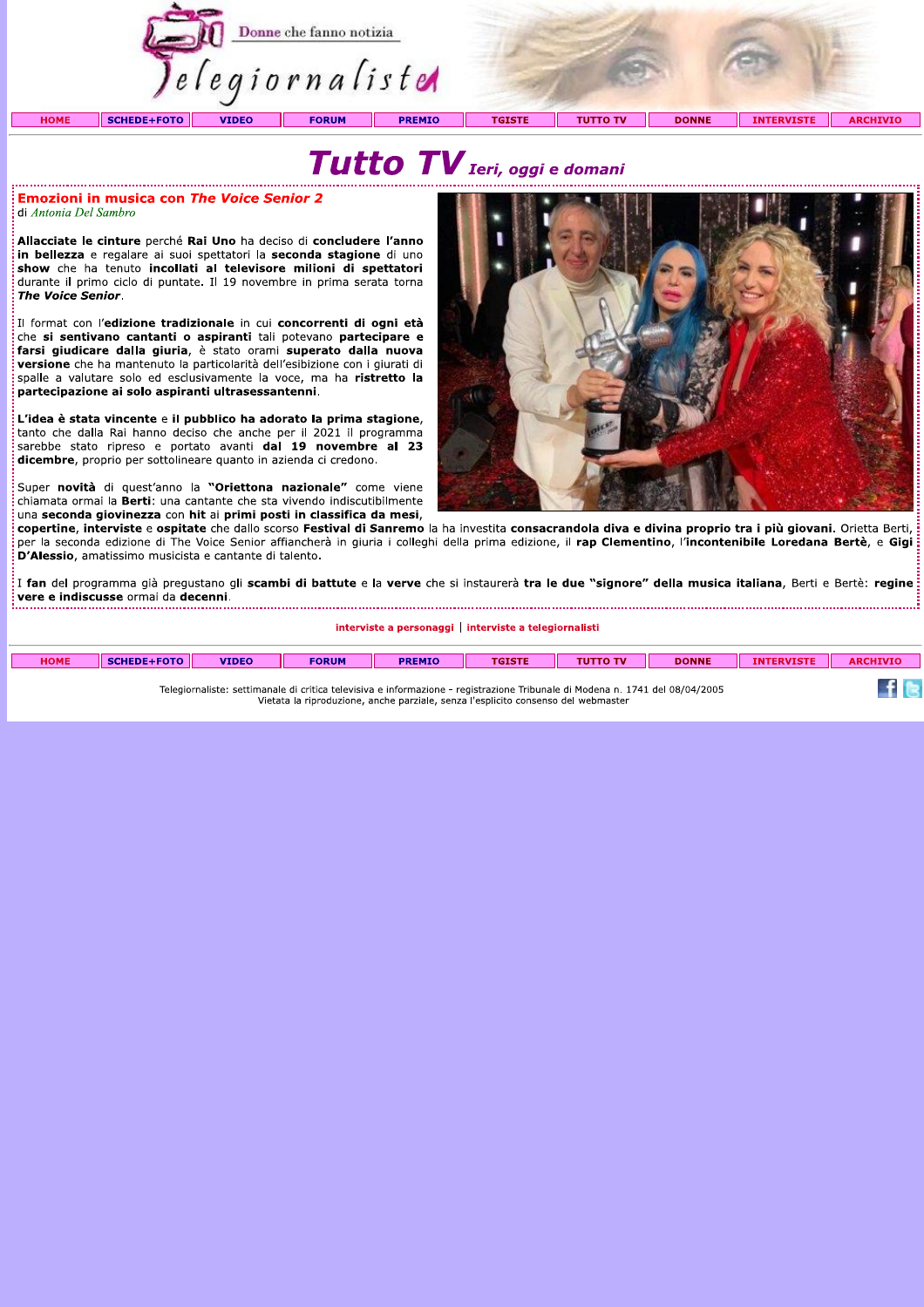

## **Tutto TV** Ieri, oggi e domani

#### **Emozioni in musica con The Voice Senior 2:** di Antonia Del Sambro

Allacciate le cinture perché Rai Uno ha deciso di concludere l'anno in bellezza e regalare ai suoi spettatori la seconda stagione di uno show che ha tenuto incollati al televisore milioni di spettatori durante il primo ciclo di puntate. Il 19 novembre in prima serata torna **The Voice Senior**.

Il format con l'edizione tradizionale in cui concorrenti di ogni età che si sentivano cantanti o aspiranti tali potevano partecipare e farsi giudicare dalla giuria, è stato orami superato dalla nuova versione che ha mantenuto la particolarità dell'esibizione con i giurati di spalle a valutare solo ed esclusivamente la voce, ma ha ristretto la partecipazione ai solo aspiranti ultrasessantenni.

L'idea è stata vincente e il pubblico ha adorato la prima stagione, tanto che dalla Rai hanno deciso che anche per il 2021 il programma sarebbe stato ripreso e portato avanti dal 19 novembre al 23 dicembre, proprio per sottolineare quanto in azienda ci credono.

Super novità di quest'anno la "Oriettona nazionale" come viene chiamata ormai la Berti: una cantante che sta vivendo indiscutibilmente una seconda giovinezza con hit ai primi posti in classifica da mesi,



 $f \approx$ 

copertine, interviste e ospitate che dallo scorso Festival di Sanremo la ha investita consacrandola diva e divina proprio tra i più giovani. Orietta Berti, per la seconda edizione di The Voice Senior affiancherà in giuria i colleghi della prima edizione, il rap Clementino, l'incontenibile Loredana Bertè, e Gigi D'Alessio, amatissimo musicista e cantante di talento.

:<br>: I fan del programma già pregustano gli scambi di battute e la verve che si instaurerà tra le due "signore" della musica italiana, Berti e Bertè: regine vere e indiscusse ormai da decenni. 

interviste a personaggi | interviste a telegiornalisti

| <b>HOME</b> | <b>SCHEDE+FOTO</b> | <b>VIDEO</b> | <b>FORUM</b> | <b>PREMIO</b> | <b>TGISTE</b> | το τν<br><b>TUTTL</b> | <b>DONNE</b> | <b>ERVISTE</b><br><b>INTL</b> | <b>ARCHIVIC</b><br>Ш |
|-------------|--------------------|--------------|--------------|---------------|---------------|-----------------------|--------------|-------------------------------|----------------------|
|             |                    |              |              |               |               |                       |              |                               |                      |

Telegiornaliste: settimanale di critica televisiva e informazione - registrazione Tribunale di Modena n. 1741 del 08/04/2005 Vietata la riproduzione, anche parziale, senza l'esplicito consenso del webmaster